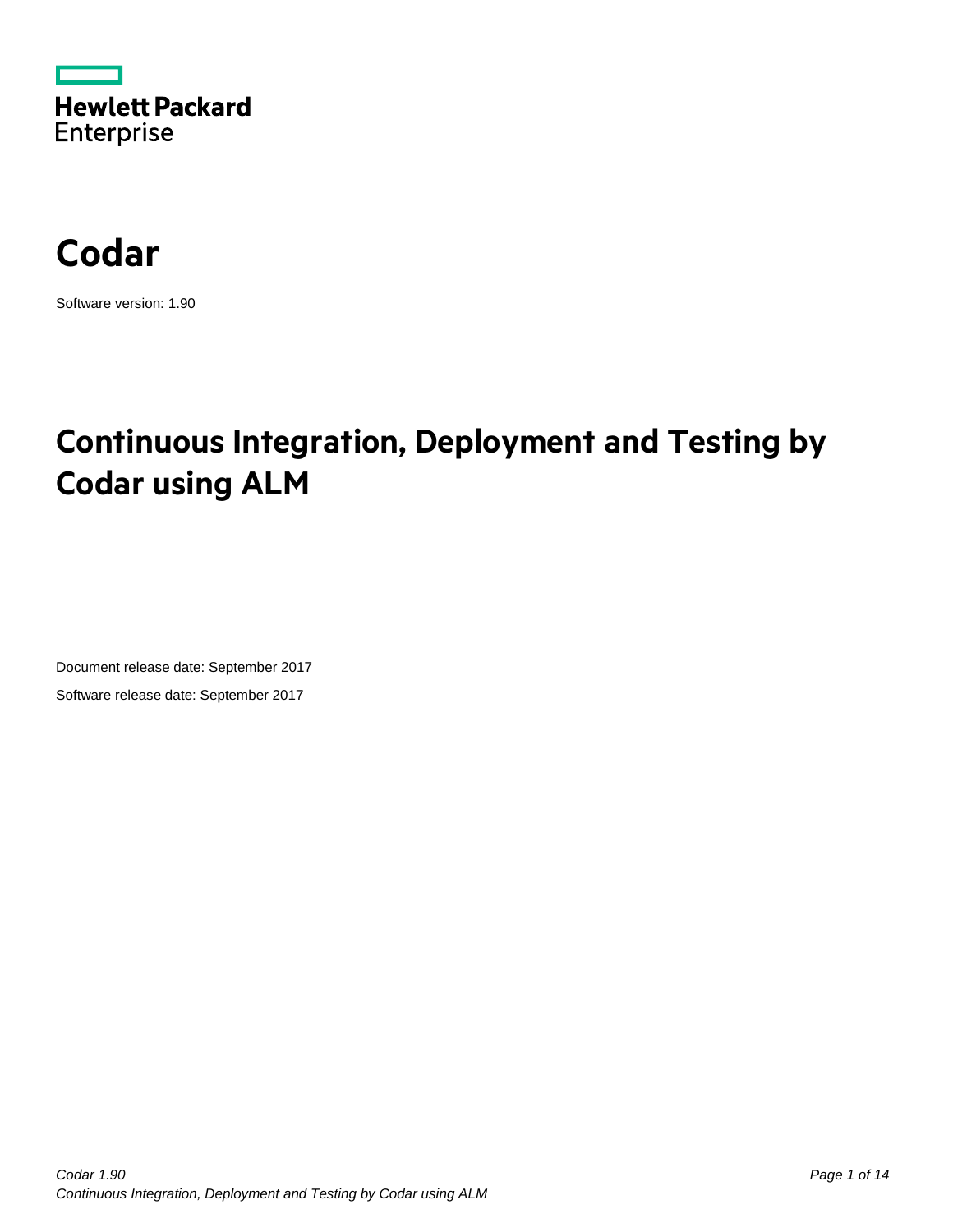



Software version: 1.90

## **Continuous Integration, Deployment and Testing by Codar using ALM**

Document release date: September 2017 Software release date: September 2017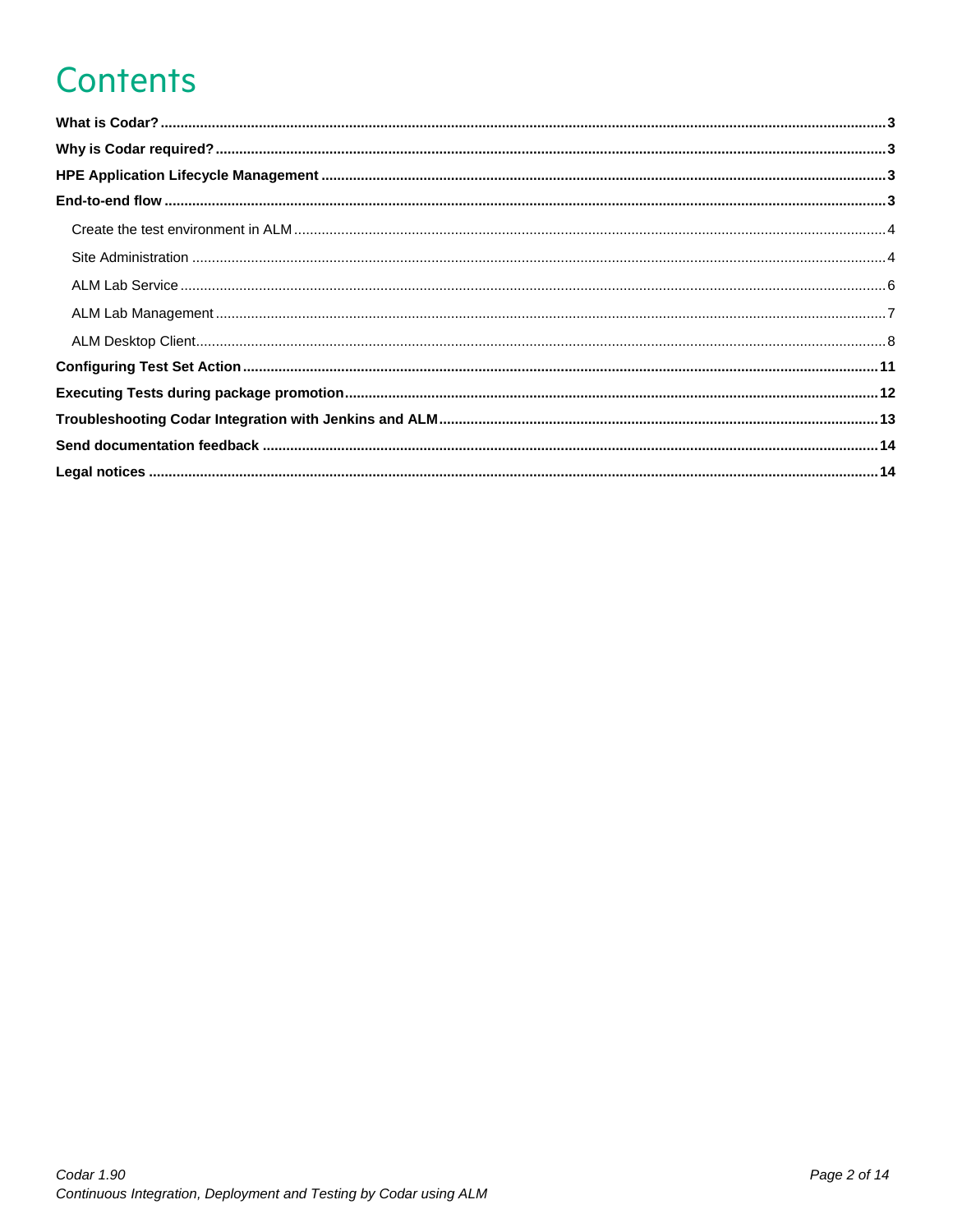# **Contents**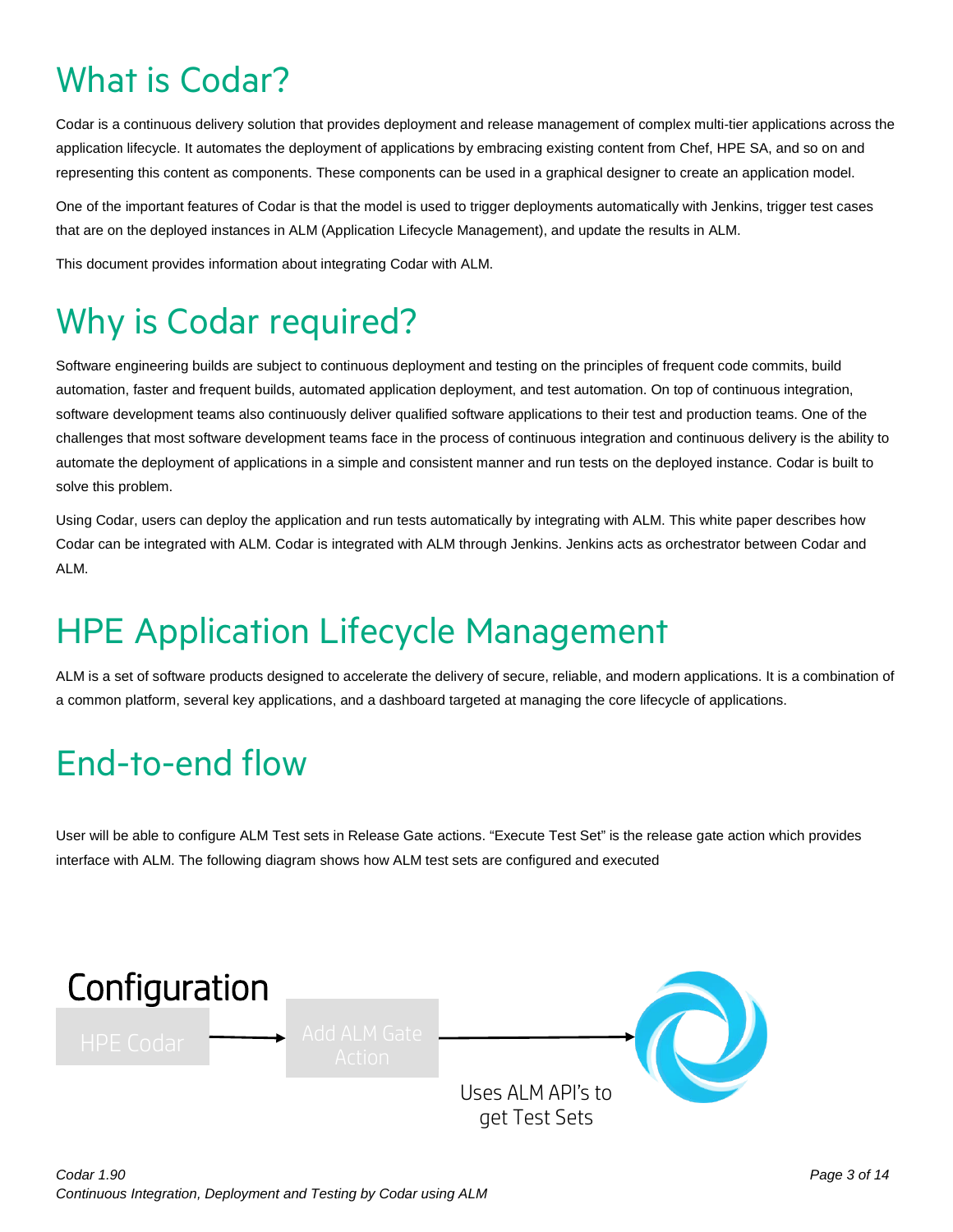# <span id="page-2-0"></span>What is Codar?

Codar is a continuous delivery solution that provides deployment and release management of complex multi-tier applications across the application lifecycle. It automates the deployment of applications by embracing existing content from Chef, HPE SA, and so on and representing this content as components. These components can be used in a graphical designer to create an application model.

One of the important features of Codar is that the model is used to trigger deployments automatically with Jenkins, trigger test cases that are on the deployed instances in ALM (Application Lifecycle Management), and update the results in ALM.

This document provides information about integrating Codar with ALM.

# <span id="page-2-1"></span>Why is Codar required?

Software engineering builds are subject to continuous deployment and testing on the principles of frequent code commits, build automation, faster and frequent builds, automated application deployment, and test automation. On top of continuous integration, software development teams also continuously deliver qualified software applications to their test and production teams. One of the challenges that most software development teams face in the process of continuous integration and continuous delivery is the ability to automate the deployment of applications in a simple and consistent manner and run tests on the deployed instance. Codar is built to solve this problem.

Using Codar, users can deploy the application and run tests automatically by integrating with ALM. This white paper describes how Codar can be integrated with ALM. Codar is integrated with ALM through Jenkins. Jenkins acts as orchestrator between Codar and ALM.

# <span id="page-2-2"></span>HPE Application Lifecycle Management

ALM is a set of software products designed to accelerate the delivery of secure, reliable, and modern applications. It is a combination of a common platform, several key applications, and a dashboard targeted at managing the core lifecycle of applications.

# <span id="page-2-3"></span>End-to-end flow

User will be able to configure ALM Test sets in Release Gate actions. "Execute Test Set" is the release gate action which provides interface with ALM. The following diagram shows how ALM test sets are configured and executed

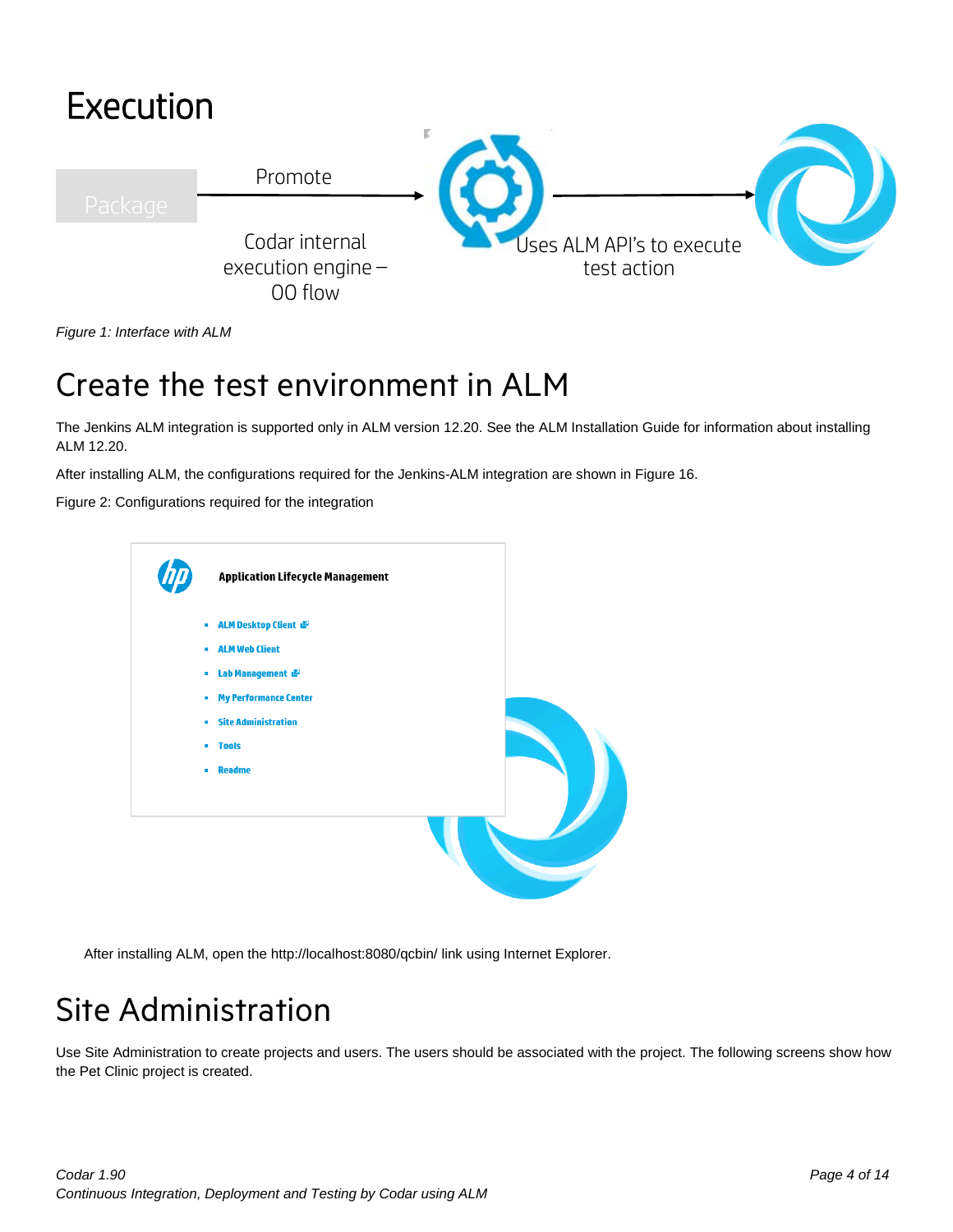

*Figure 1: Interface with ALM* 

## <span id="page-3-0"></span>Create the test environment in ALM

The Jenkins ALM integration is supported only in ALM version 12.20. See the ALM Installation Guide for information about installing ALM 12.20.

After installing ALM, the configurations required for the Jenkins-ALM integration are shown in [Figure 16.](#page-3-2)

Figure 2: Configurations required for the integration

<span id="page-3-2"></span>

After installing ALM, open the<http://localhost:8080/qcbin/> link using Internet Explorer.

## <span id="page-3-1"></span>Site Administration

Use Site Administration to create projects and users. The users should be associated with the project. The following screens show how the Pet Clinic project is created.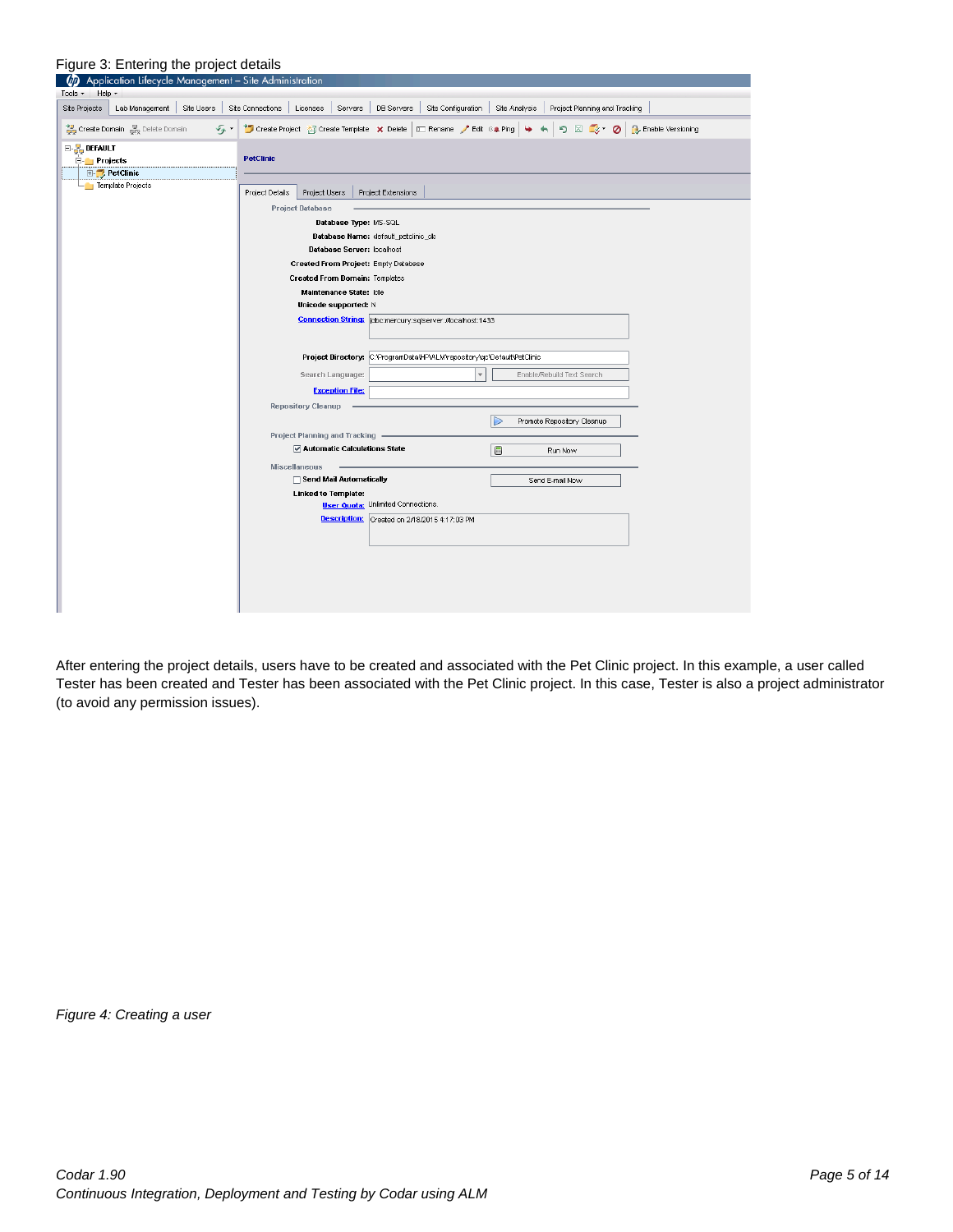| Figure 3: Entering the project details                                              |                                                                                                                              |
|-------------------------------------------------------------------------------------|------------------------------------------------------------------------------------------------------------------------------|
| Application Lifecycle Management - Site Administration<br>ØD                        |                                                                                                                              |
| Help -<br>Tools $\sim$                                                              |                                                                                                                              |
| Site Users<br><b>Site Projects</b><br>Lab Management                                | Site Connections<br>Licenses Servers<br>DB Servers<br>Site Configuration   Site Analysis<br>Project Planning and Tracking    |
| Create Domain & Delete Domain<br>$\mathcal{F}_{\mathcal{F}}$                        | "Dicreate Project <b>ZD</b> Create Template X Delete <b>E</b> Rename / Edit (4 Ping   4 +   5) ⊠ 2 × ⊘   4 Enable Versioning |
| $\boxminus$ $\frac{\mathbb{F}}{2}$ default<br>$\Box$ Projects<br><b>E-PetClinic</b> | <b>PetClinic</b>                                                                                                             |
| Femplate Projects                                                                   | Project Users<br>Project Extensions<br>Project Details                                                                       |
|                                                                                     | <b>Project Database</b>                                                                                                      |
|                                                                                     | Database Type: MS-SQL                                                                                                        |
|                                                                                     | Database Name: default_petclinic_db<br>Database Server: localhost                                                            |
|                                                                                     | Created From Project: Empty Database                                                                                         |
|                                                                                     | Created From Domain: Templates                                                                                               |
|                                                                                     | Maintenance State: Idle                                                                                                      |
|                                                                                     | Unicode supported: N                                                                                                         |
|                                                                                     | Connection String:  idbc:mercury:sqlserver://localhost:1433                                                                  |
|                                                                                     |                                                                                                                              |
|                                                                                     | Project Directory: C: ProgramDataVHPVALMVrepository/gc/Default/PetClinic                                                     |
|                                                                                     |                                                                                                                              |
|                                                                                     | Search Language:<br>Enable/Rebuild Text Search                                                                               |
|                                                                                     | <b>Exception File:</b>                                                                                                       |
|                                                                                     | <b>Repository Cleanup</b>                                                                                                    |
|                                                                                     | Promote Repository Cleanup                                                                                                   |
|                                                                                     | <b>Project Planning and Tracking</b><br>Automatic Calculations State                                                         |
|                                                                                     | 圖<br>Run Now                                                                                                                 |
|                                                                                     | <b>Miscellaneous</b><br>Send Mail Automatically<br>Send E-mail Now                                                           |
|                                                                                     | <b>Linked to Template:</b>                                                                                                   |
|                                                                                     | <b>User Quota:</b> Unlimited Connections.                                                                                    |
|                                                                                     | Description: Created on 2/18/2015 4:17:03 PM                                                                                 |
|                                                                                     |                                                                                                                              |
|                                                                                     |                                                                                                                              |
|                                                                                     |                                                                                                                              |
|                                                                                     |                                                                                                                              |
|                                                                                     |                                                                                                                              |
|                                                                                     |                                                                                                                              |

After entering the project details, users have to be created and associated with the Pet Clinic project. In this example, a user called Tester has been created and Tester has been associated with the Pet Clinic project. In this case, Tester is also a project administrator (to avoid any permission issues).

*Figure 4: Creating a user*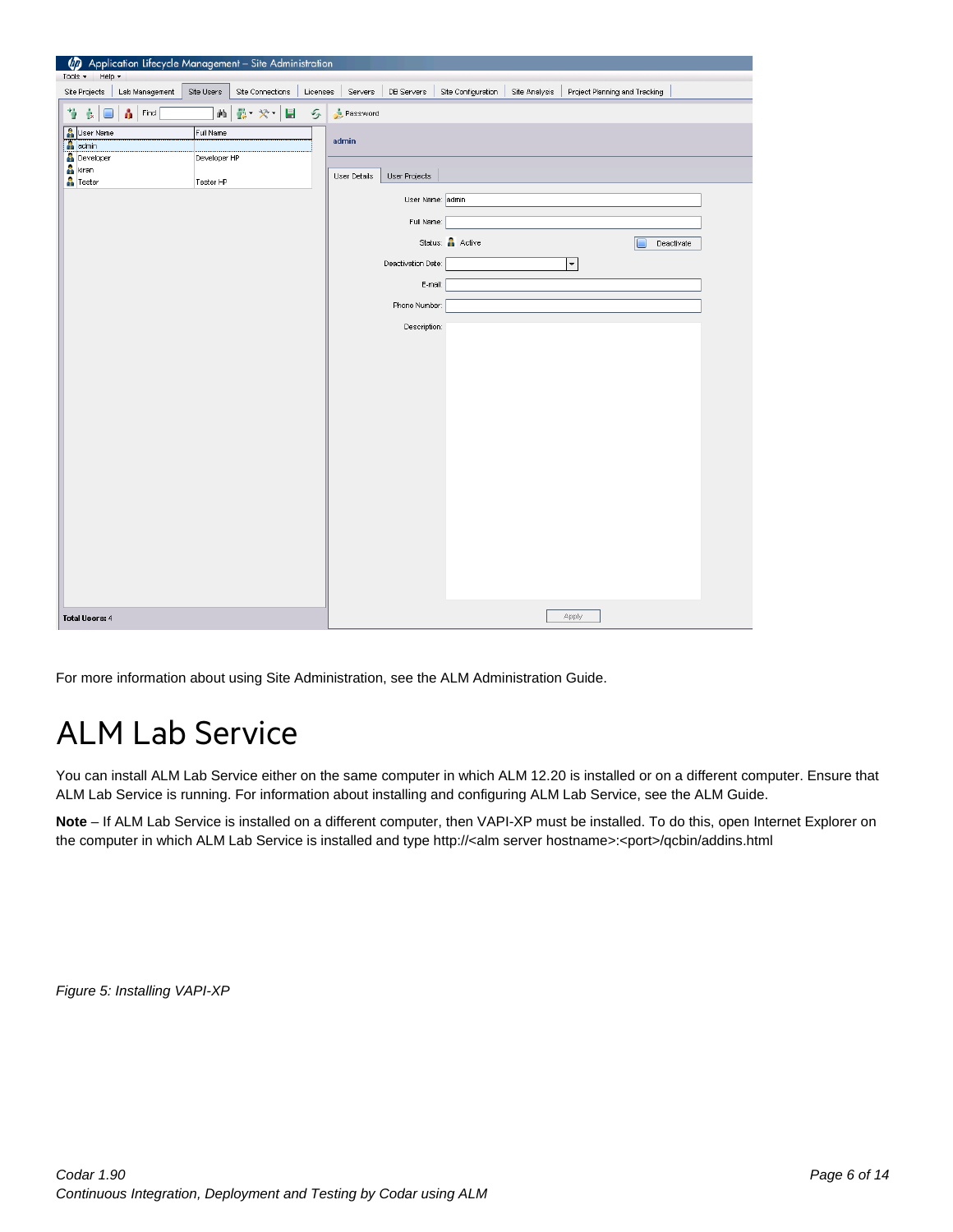| 40 Application Lifecycle Management - Site Administration |              |                  |               |              |                    |                    |               |                               |  |
|-----------------------------------------------------------|--------------|------------------|---------------|--------------|--------------------|--------------------|---------------|-------------------------------|--|
| Help -<br>Tools $\star$                                   |              |                  |               |              |                    |                    |               |                               |  |
| Lab Management<br>Site Projects                           | Site Users   | Site Connections | Licenses      | Servers      | DB Servers         | Site Configuration | Site Analysis | Project Planning and Tracking |  |
| Ÿ<br>青<br>Find<br>$\mathbf{k}$<br>$\Box$                  | 繭            | 費 ※ ■            | $\mathcal{G}$ | Password     |                    |                    |               |                               |  |
| User Name                                                 | Full Name    |                  |               |              |                    |                    |               |                               |  |
| admin                                                     |              |                  |               | admin        |                    |                    |               |                               |  |
| <b>Developer</b>                                          | Developer HP |                  |               |              |                    |                    |               |                               |  |
| <b>A</b> kiran<br>$\frac{6}{10}$ Tester                   |              |                  |               | User Details | User Projects      |                    |               |                               |  |
|                                                           | Tester HP    |                  |               |              | User Name: admin   |                    |               |                               |  |
|                                                           |              |                  |               |              | Full Name:         |                    |               |                               |  |
|                                                           |              |                  |               |              |                    | Status: Active     |               |                               |  |
|                                                           |              |                  |               |              | Deactivation Date: |                    |               | Deactivate                    |  |
|                                                           |              |                  |               |              |                    |                    |               | ▼                             |  |
|                                                           |              |                  |               |              | E-mail:            |                    |               |                               |  |
|                                                           |              |                  |               |              | Phone Number:      |                    |               |                               |  |
|                                                           |              |                  |               |              | Description:       |                    |               |                               |  |
|                                                           |              |                  |               |              |                    |                    |               |                               |  |
|                                                           |              |                  |               |              |                    |                    |               |                               |  |
|                                                           |              |                  |               |              |                    |                    |               |                               |  |
|                                                           |              |                  |               |              |                    |                    |               |                               |  |
|                                                           |              |                  |               |              |                    |                    |               |                               |  |
|                                                           |              |                  |               |              |                    |                    |               |                               |  |
|                                                           |              |                  |               |              |                    |                    |               |                               |  |
|                                                           |              |                  |               |              |                    |                    |               |                               |  |
|                                                           |              |                  |               |              |                    |                    |               |                               |  |
|                                                           |              |                  |               |              |                    |                    |               |                               |  |
|                                                           |              |                  |               |              |                    |                    |               |                               |  |
|                                                           |              |                  |               |              |                    |                    |               |                               |  |
|                                                           |              |                  |               |              |                    |                    |               |                               |  |
|                                                           |              |                  |               |              |                    |                    |               |                               |  |
|                                                           |              |                  |               |              |                    |                    |               |                               |  |
|                                                           |              |                  |               |              |                    |                    |               |                               |  |
| <b>Total Users: 4</b>                                     |              |                  |               |              |                    |                    |               | Apply                         |  |

For more information about using Site Administration, see the ALM Administration Guide.

## <span id="page-5-0"></span>ALM Lab Service

You can install ALM Lab Service either on the same computer in which ALM 12.20 is installed or on a different computer. Ensure that ALM Lab Service is running. For information about installing and configuring ALM Lab Service, see the ALM Guide.

**Note** – If ALM Lab Service is installed on a different computer, then VAPI-XP must be installed. To do this, open Internet Explorer on the computer in which ALM Lab Service is installed and type http://<alm server hostname>:<port>/qcbin/addins.html

*Figure 5: Installing VAPI-XP*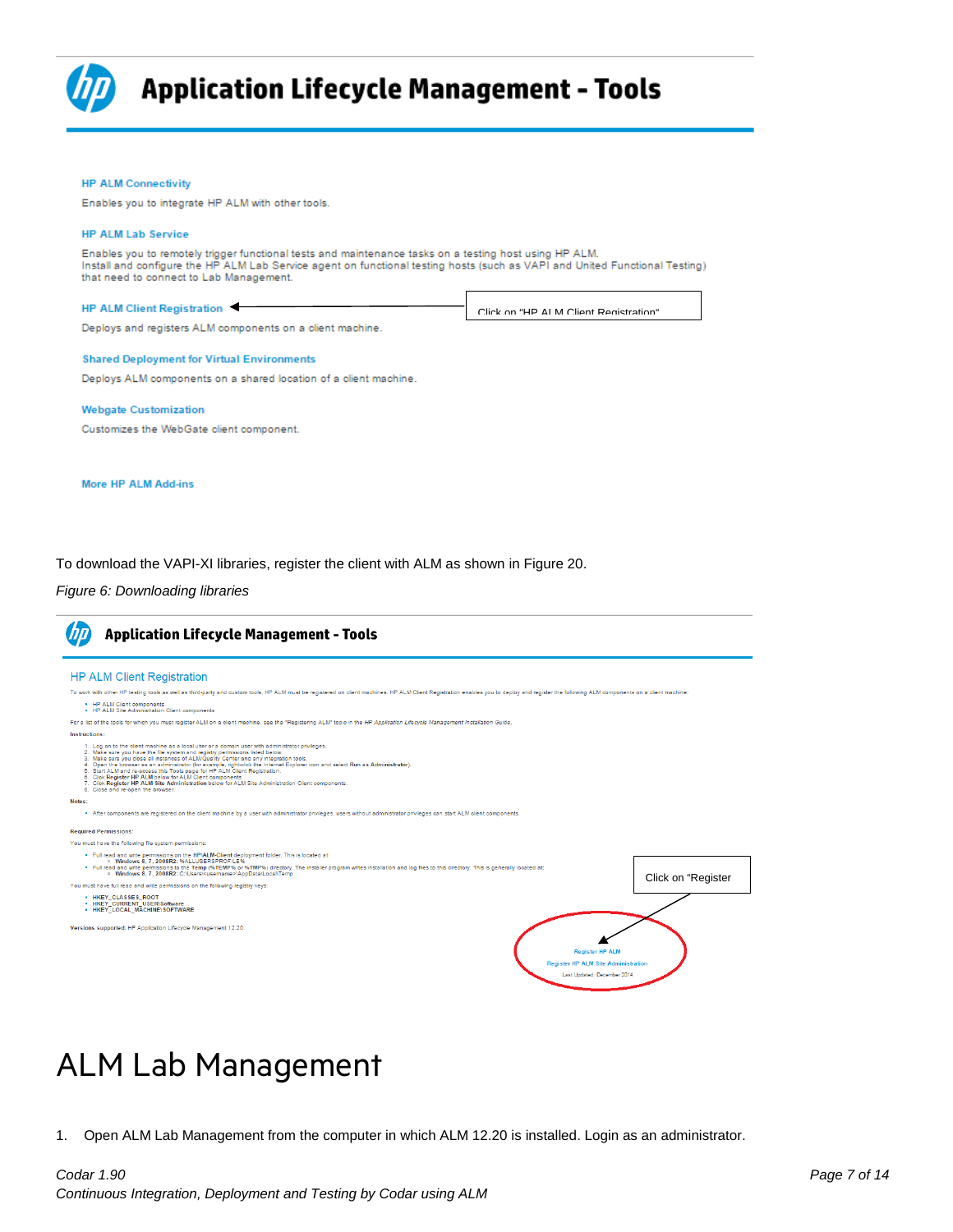

### **Application Lifecycle Management - Tools**

#### **HP ALM Connectivity**

Enables you to integrate HP ALM with other tools.

### **HP ALM Lab Service**

Enables you to remotely trigger functional tests and maintenance tasks on a testing host using HP ALM.<br>Install and configure the HP ALM Lab Service agent on functional testing hosts (such as VAPI and United Functional Test that need to connect to Lab Management.

Click on "HP ALM Client Registration"

### HP ALM Client Registration

Deploys and registers ALM components on a client machine.

#### **Shared Deployment for Virtual Environments**

Deploys ALM components on a shared location of a client machine.

### **Webgate Customization**

Customizes the WebGate client component.

#### **More HP ALM Add-ins**

To download the VAPI-XI libraries, register the client with ALM as shown i[n Figure 20.](#page-6-1)

### <span id="page-6-1"></span>*Figure 6: Downloading libraries*



### <span id="page-6-0"></span>ALM Lab Management

1. Open ALM Lab Management from the computer in which ALM 12.20 is installed. Login as an administrator.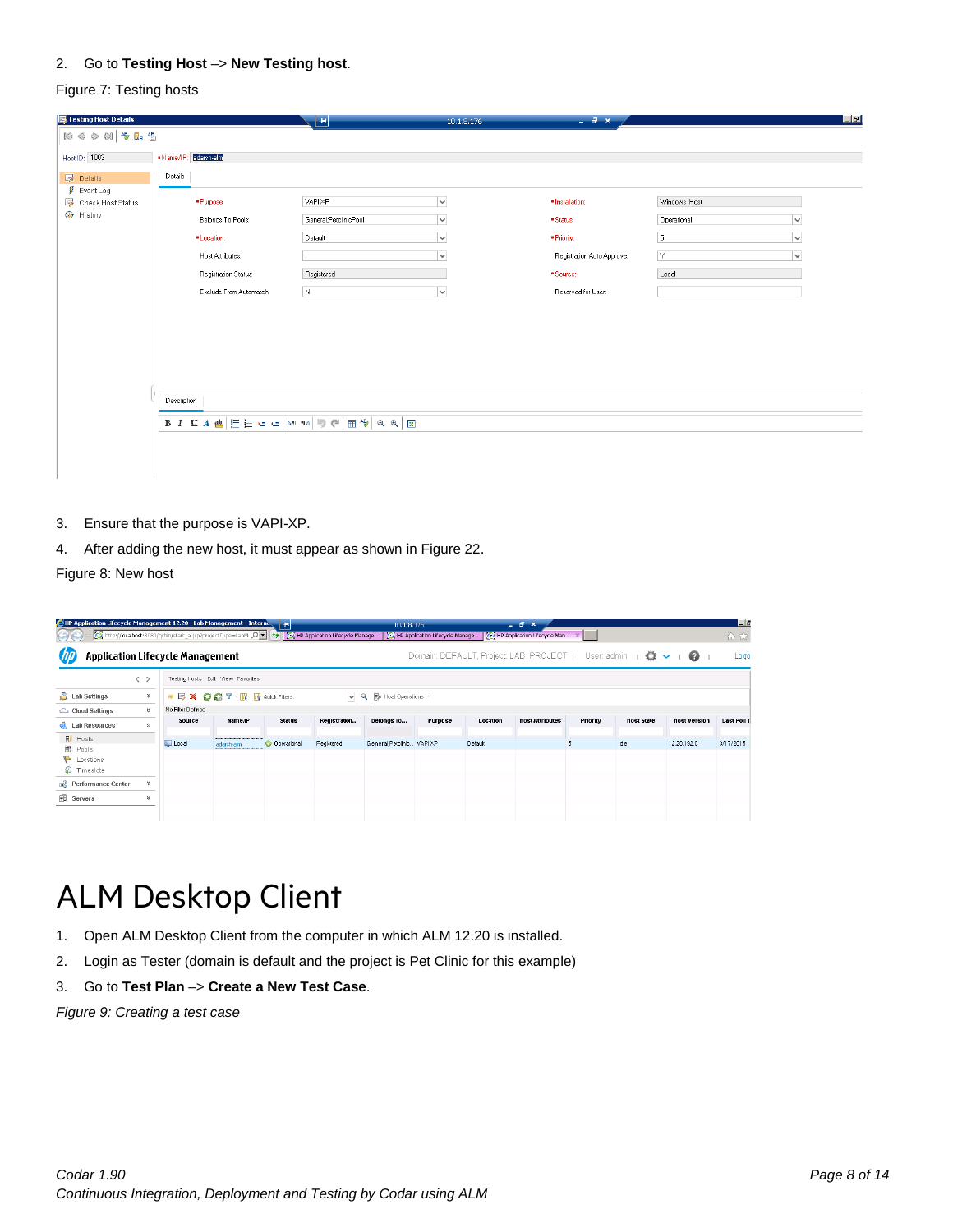### 2. Go to **Testing Host** –> **New Testing host**.

### Figure 7: Testing hosts

| Testing Host Details                                  |                                                                                                                                                                                                                                                                                                  | $+1$                  | 10.1.8.176   | $ \theta$ x                |              |              |
|-------------------------------------------------------|--------------------------------------------------------------------------------------------------------------------------------------------------------------------------------------------------------------------------------------------------------------------------------------------------|-----------------------|--------------|----------------------------|--------------|--------------|
| 10000 步息告                                             |                                                                                                                                                                                                                                                                                                  |                       |              |                            |              |              |
| Host ID: 1003                                         | Name/IP: adarsh-alm                                                                                                                                                                                                                                                                              |                       |              |                            |              |              |
| $E_{\mathscr{O}}$ Details                             | Details                                                                                                                                                                                                                                                                                          |                       |              |                            |              |              |
| $\sqrt{\frac{g}{\pi}}$ Event Log<br>Check Host Status | · Purpose:                                                                                                                                                                                                                                                                                       | <b>VAPI-XP</b>        | $\checkmark$ | · Installation:            | Windows Host |              |
| + History                                             | Belongs To Pools:                                                                                                                                                                                                                                                                                | General;PetclinicPool | $\checkmark$ | ·Status:                   | Operational  |              |
|                                                       |                                                                                                                                                                                                                                                                                                  |                       |              |                            |              | $\check{~}$  |
|                                                       | ·Location:                                                                                                                                                                                                                                                                                       | Default               | $\checkmark$ | · Priority:                | 5            | $\check{~}$  |
|                                                       | Host Attributes:                                                                                                                                                                                                                                                                                 |                       | $\sim$       | Registration Auto Approve: | İΥ.          | $\checkmark$ |
|                                                       | <b>Registration Status:</b>                                                                                                                                                                                                                                                                      | Registered            |              | · Source:                  | Local        |              |
|                                                       | Exclude From Automatch:                                                                                                                                                                                                                                                                          | $\,$ N                | $\checkmark$ | Reserved for User:         |              |              |
|                                                       |                                                                                                                                                                                                                                                                                                  |                       |              |                            |              |              |
|                                                       | Description                                                                                                                                                                                                                                                                                      |                       |              |                            |              |              |
|                                                       | $B \left  I \right. \subseteq A \left  \frac{\mathbf{a}}{B} \right  \equiv \equiv \mathbf{a} \left  \mathbf{a} \right  \left  \mathbf{a} \right  \left  \mathbf{b} \right  \in \left  \frac{\mathbf{a}}{B} \right  \left  \mathbf{c} \right  \in \mathbf{a} \left  \frac{\mathbf{c}}{B} \right $ |                       |              |                            |              |              |
|                                                       |                                                                                                                                                                                                                                                                                                  |                       |              |                            |              |              |
|                                                       |                                                                                                                                                                                                                                                                                                  |                       |              |                            |              |              |
|                                                       |                                                                                                                                                                                                                                                                                                  |                       |              |                            |              |              |

- 3. Ensure that the purpose is VAPI-XP.
- 4. After adding the new host, it must appear as shown i[n Figure 22.](#page-7-1)

<span id="page-7-1"></span>Figure 8: New host

| <b>C</b> HP Application Lifecycle Management 12.20 - Lab Management - Interne<br>http://localhost:8080/qcbin/start_a.jsp?projectType=LabM_O = $\left \frac{f_{\bullet}}{f}\right $ Fig. HP Application Lifecycle Manage   @ HP Application Lifecycle Manage   @ HP Application Lifecycle Manage   @ HP Application Lifecy<br><b>GUE</b> |                   |                                          | Fн                   |              | 10:1.3:176                                          |         |          | $ -$<br>$\mathbf{x}$                                      |                 |                   |                     | E<br>命☆            |
|-----------------------------------------------------------------------------------------------------------------------------------------------------------------------------------------------------------------------------------------------------------------------------------------------------------------------------------------|-------------------|------------------------------------------|----------------------|--------------|-----------------------------------------------------|---------|----------|-----------------------------------------------------------|-----------------|-------------------|---------------------|--------------------|
| <b>Application Lifecycle Management</b>                                                                                                                                                                                                                                                                                                 |                   |                                          |                      |              |                                                     |         |          | Domain: DEFAULT, Project: LAB PROJECT   User: admin   5 ↓ |                 |                   | $\blacksquare$      | Logo               |
| $\langle \rangle$                                                                                                                                                                                                                                                                                                                       |                   | Testing Hosts Edit View Favorites        |                      |              |                                                     |         |          |                                                           |                 |                   |                     |                    |
| <b>A</b> Lab Settings<br>¥                                                                                                                                                                                                                                                                                                              |                   | * 2 X C C T · IR <b>B</b> Quick Filters: |                      |              | $\sqrt{Q}$ $\frac{1}{2}$ Host Operations $\sqrt{ }$ |         |          |                                                           |                 |                   |                     |                    |
| $\approx$<br>Cloud Settings                                                                                                                                                                                                                                                                                                             | No Filter Defined |                                          |                      |              |                                                     |         |          |                                                           |                 |                   |                     |                    |
| <b>Q</b> Lab Resources<br>$\hat{\mathbf{x}}$                                                                                                                                                                                                                                                                                            | Source            | <b>NameAP</b>                            | <b>Status</b>        | Registration | Belongs To                                          | Purpose | Location | <b>Host Attributes</b>                                    | <b>Priority</b> | <b>Host State</b> | <b>Host Version</b> | <b>Last Poll 1</b> |
| <b>同</b> Hosts<br>印<br>Pools<br>Locations<br><b>D</b> Timeslots                                                                                                                                                                                                                                                                         | Local             | adarsh-alm                               | <b>O</b> Operational | Registered   | General:Petclinic VAPI-XP                           |         | Default  |                                                           | 5               | Idle              | 12.20.192.0         | 3/17/2015 1        |
| <b>E</b> <sup>2</sup> Performance Center<br>¥                                                                                                                                                                                                                                                                                           |                   |                                          |                      |              |                                                     |         |          |                                                           |                 |                   |                     |                    |
| <b>iii</b> Servers<br>¥                                                                                                                                                                                                                                                                                                                 |                   |                                          |                      |              |                                                     |         |          |                                                           |                 |                   |                     |                    |

## <span id="page-7-0"></span>ALM Desktop Client

- 1. Open ALM Desktop Client from the computer in which ALM 12.20 is installed.
- 2. Login as Tester (domain is default and the project is Pet Clinic for this example)
- 3. Go to **Test Plan** –> **Create a New Test Case**.

*Figure 9: Creating a test case*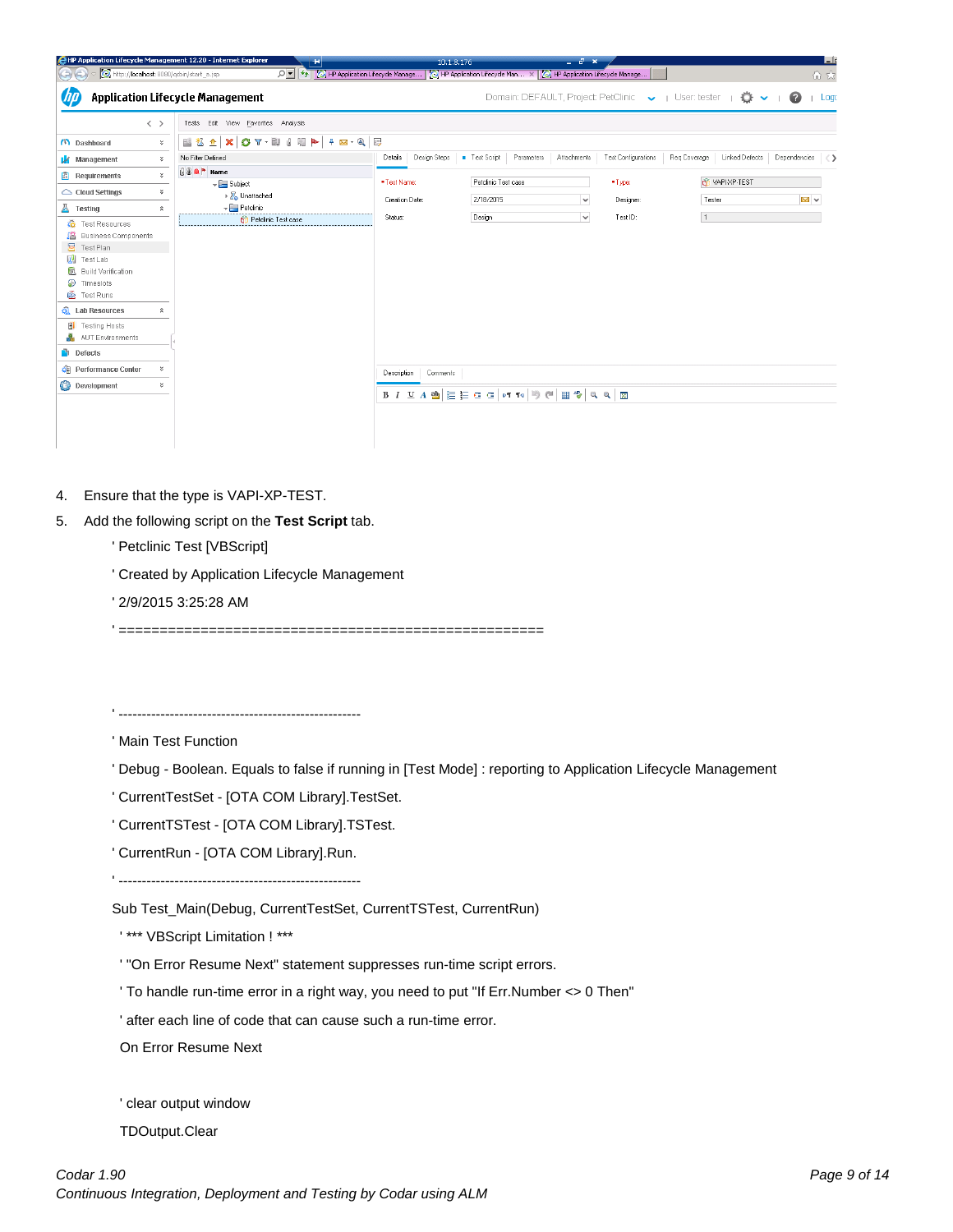

- 4. Ensure that the type is VAPI-XP-TEST.
- 5. Add the following script on the **Test Script** tab.
	- ' Petclinic Test [VBScript]
	- ' Created by Application Lifecycle Management
	- ' 2/9/2015 3:25:28 AM
	- ' ====================================================

' ----------------------------------------------------

' Main Test Function

- ' Debug Boolean. Equals to false if running in [Test Mode] : reporting to Application Lifecycle Management
- ' CurrentTestSet [OTA COM Library].TestSet.
- ' CurrentTSTest [OTA COM Library].TSTest.
- ' CurrentRun [OTA COM Library].Run.

' ----------------------------------------------------

Sub Test\_Main(Debug, CurrentTestSet, CurrentTSTest, CurrentRun)

' \*\*\* VBScript Limitation ! \*\*\*

' "On Error Resume Next" statement suppresses run-time script errors.

' To handle run-time error in a right way, you need to put "If Err.Number <> 0 Then"

' after each line of code that can cause such a run-time error.

On Error Resume Next

' clear output window

TDOutput.Clear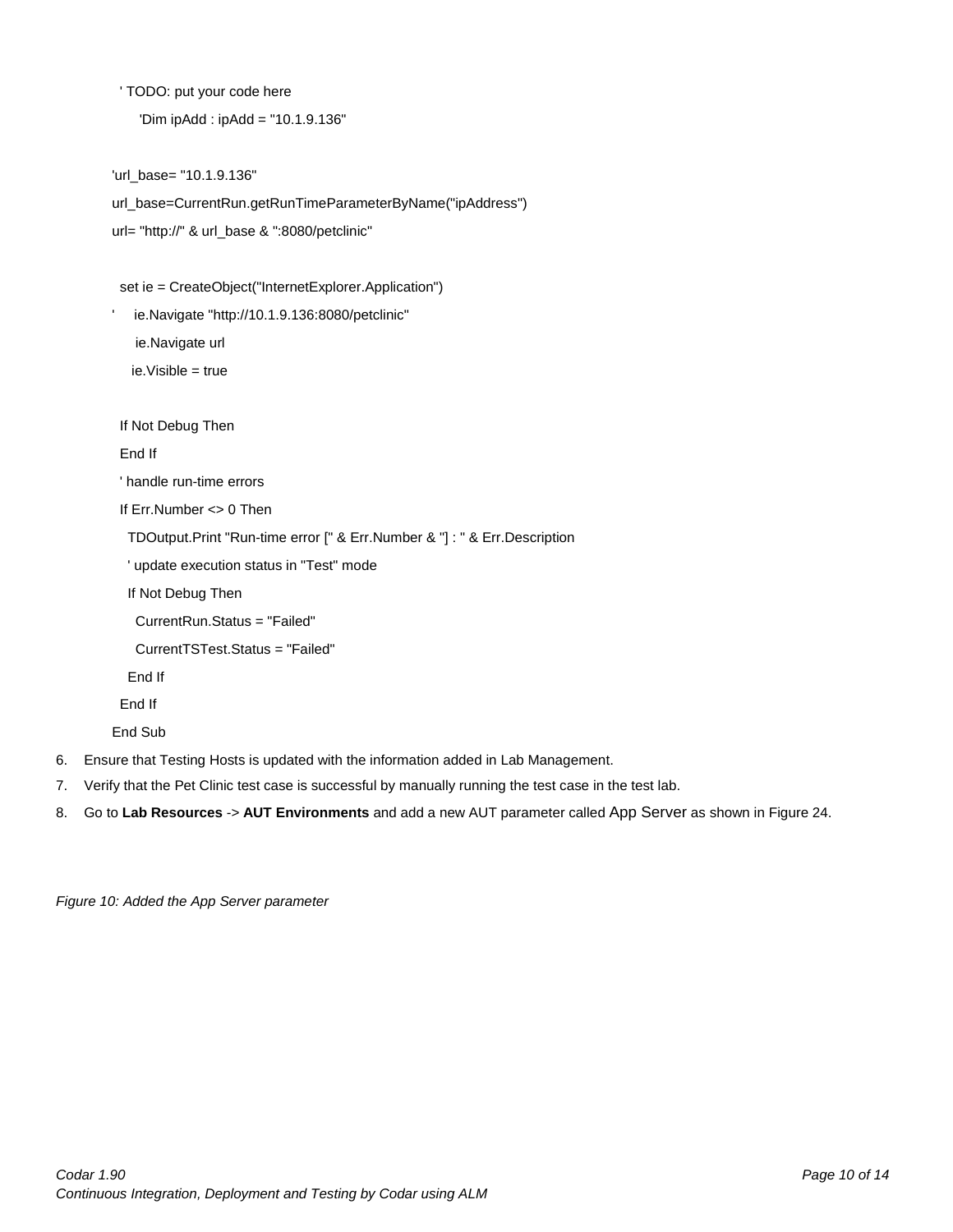' TODO: put your code here

'Dim ipAdd : ipAdd = "10.1.9.136"

```
'url_base= "10.1.9.136"
```
url\_base=CurrentRun.getRunTimeParameterByName("ipAddress") url= "http://" & url\_base & ":8080/petclinic"

set ie = CreateObject("InternetExplorer.Application")

' ie.Navigate "http://10.1.9.136:8080/petclinic" ie.Navigate url ie.Visible = true

If Not Debug Then

End If

' handle run-time errors

If Err.Number <> 0 Then

TDOutput.Print "Run-time error [" & Err.Number & "] : " & Err.Description

' update execution status in "Test" mode

If Not Debug Then

CurrentRun.Status = "Failed"

CurrentTSTest.Status = "Failed"

End If

End If

End Sub

- 6. Ensure that Testing Hosts is updated with the information added in Lab Management.
- 7. Verify that the Pet Clinic test case is successful by manually running the test case in the test lab.
- <span id="page-9-0"></span>8. Go to **Lab Resources** -> **AUT Environments** and add a new AUT parameter called App Server as shown in [Figure 24.](#page-9-0)

*Figure 10: Added the App Server parameter*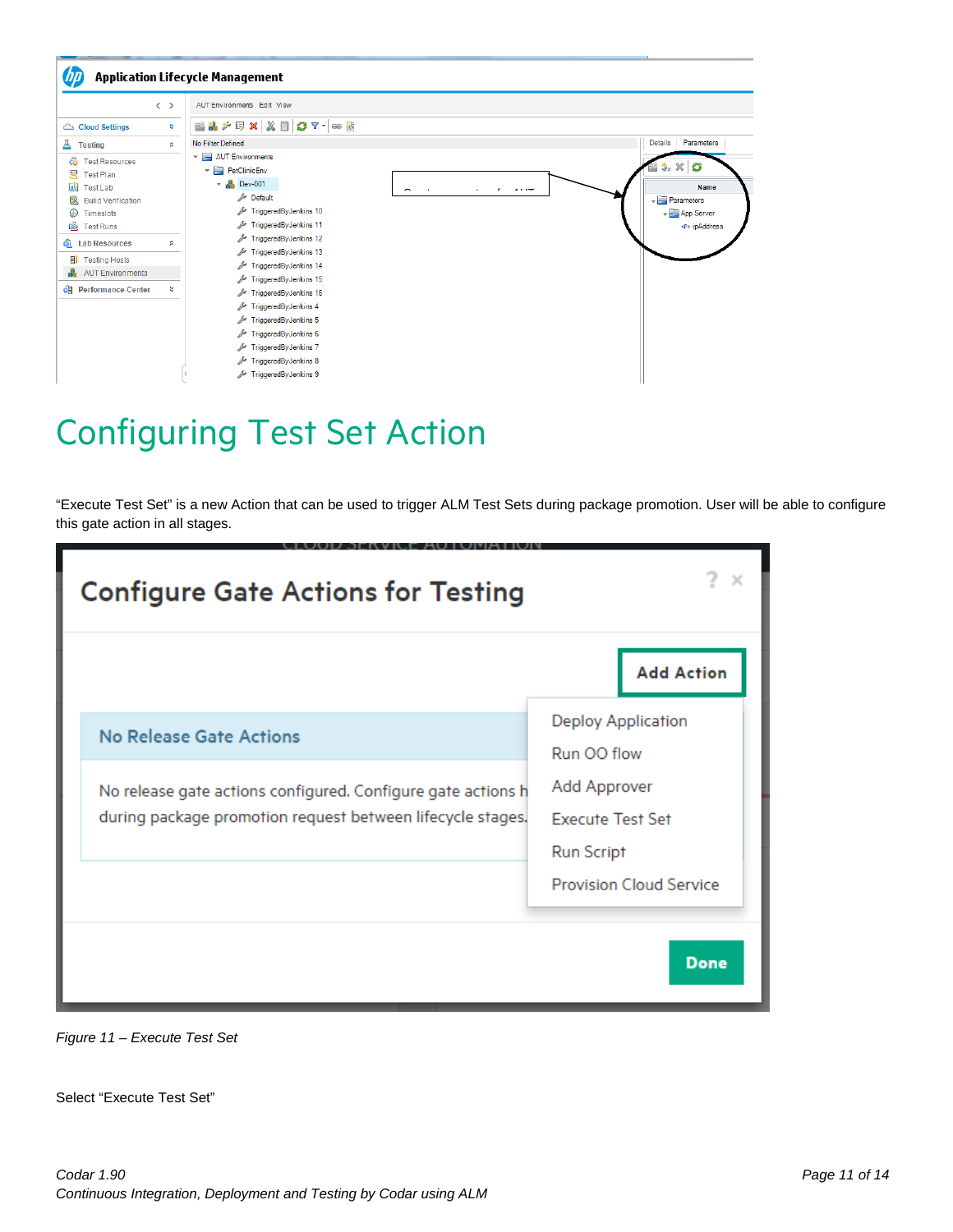

## <span id="page-10-0"></span>Configuring Test Set Action

"Execute Test Set" is a new Action that can be used to trigger ALM Test Sets during package promotion. User will be able to configure this gate action in all stages.

| <b>Configure Gate Actions for Testing</b>                                                                                                             |                                                                                                                                            |
|-------------------------------------------------------------------------------------------------------------------------------------------------------|--------------------------------------------------------------------------------------------------------------------------------------------|
|                                                                                                                                                       | <b>Add Action</b>                                                                                                                          |
| No Release Gate Actions<br>No release gate actions configured. Configure gate actions h<br>during package promotion request between lifecycle stages. | <b>Deploy Application</b><br>Run OO flow<br>Add Approver<br><b>Execute Test Set</b><br><b>Run Script</b><br><b>Provision Cloud Service</b> |
|                                                                                                                                                       | <b>Done</b>                                                                                                                                |

*Figure 11 – Execute Test Set*

Select "Execute Test Set"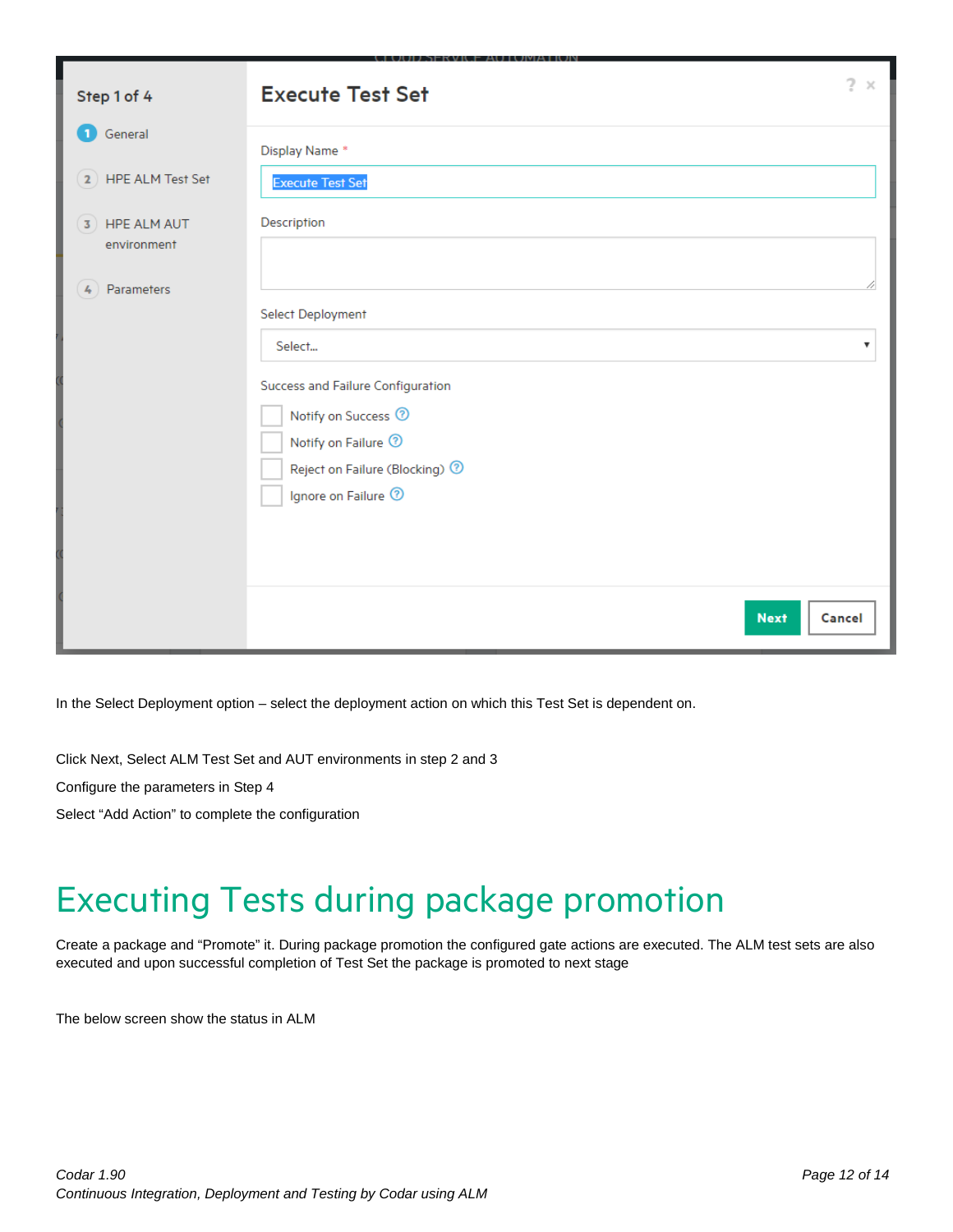| Step 1 of 4                   | Ĵ.<br>$\boldsymbol{\times}$<br><b>Execute Test Set</b> |  |
|-------------------------------|--------------------------------------------------------|--|
| General<br>$\mathbf{1}$       | Display Name *                                         |  |
| 2) HPE ALM Test Set           | <b>Execute Test Set</b>                                |  |
| 3) HPE ALM AUT<br>environment | Description                                            |  |
| Parameters<br>$\frac{1}{2}$   |                                                        |  |
|                               | <b>Select Deployment</b>                               |  |
|                               | Select<br>v                                            |  |
|                               | Success and Failure Configuration                      |  |
|                               | Notify on Success <sup>7</sup>                         |  |
|                               | Notify on Failure <sup>7</sup>                         |  |
|                               | Reject on Failure (Blocking) <sup>7</sup>              |  |
|                               | Ignore on Failure <sup>7</sup>                         |  |
|                               |                                                        |  |
|                               |                                                        |  |
|                               | <b>Next</b><br>Cancel                                  |  |

In the Select Deployment option – select the deployment action on which this Test Set is dependent on.

Click Next, Select ALM Test Set and AUT environments in step 2 and 3

Configure the parameters in Step 4

Select "Add Action" to complete the configuration

# <span id="page-11-0"></span>Executing Tests during package promotion

Create a package and "Promote" it. During package promotion the configured gate actions are executed. The ALM test sets are also executed and upon successful completion of Test Set the package is promoted to next stage

The below screen show the status in ALM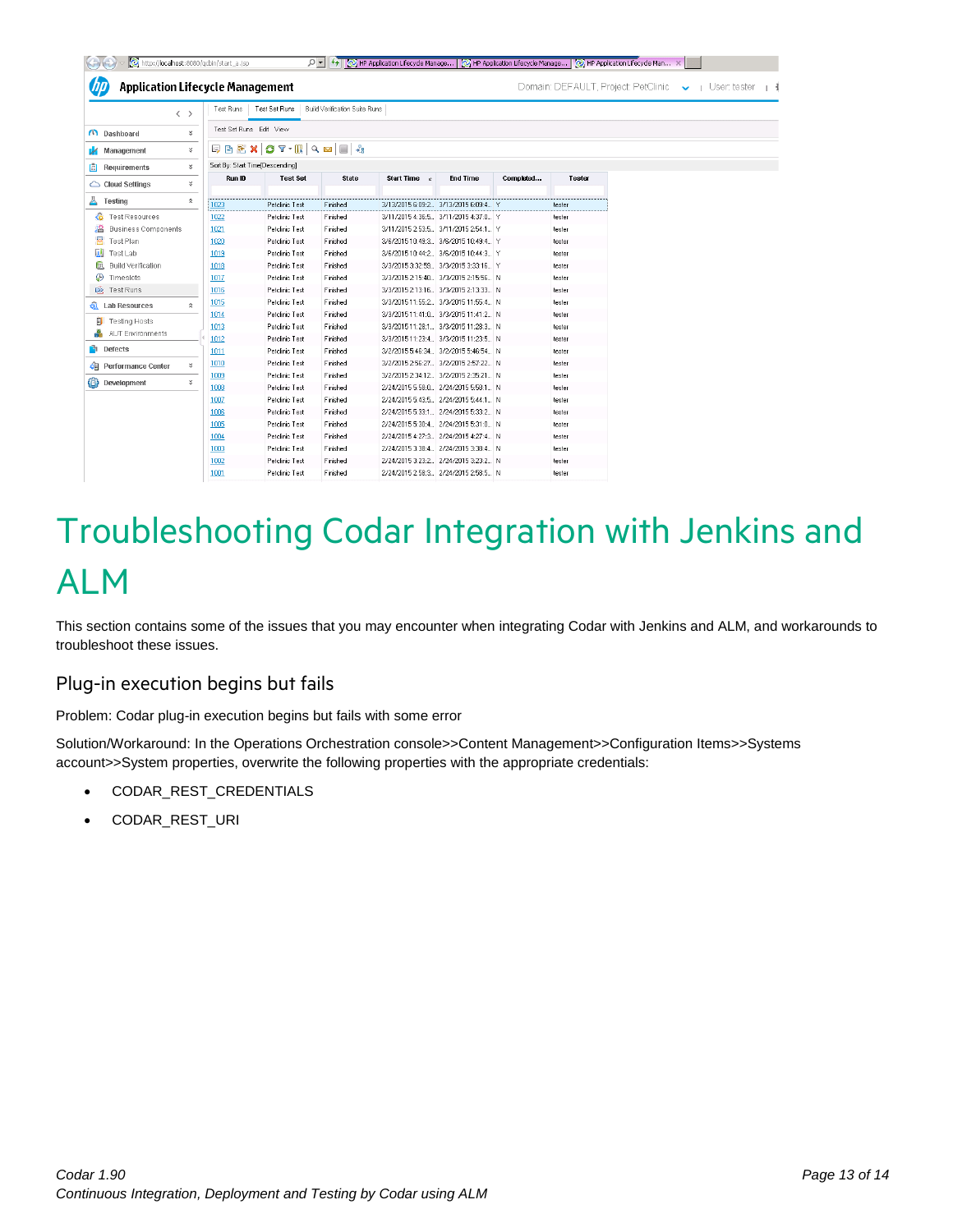| <b>Application Lifecycle Management</b> | $\langle \rangle$  | Test Runs                       | Test Set Runs                      | Build Verification Suite Runs |                          |                                       |           |        |  |
|-----------------------------------------|--------------------|---------------------------------|------------------------------------|-------------------------------|--------------------------|---------------------------------------|-----------|--------|--|
| <b>Contract</b> Dashboard               | $\boldsymbol{z}$   | Test Set Runs Edit View         |                                    |                               |                          |                                       |           |        |  |
| Management<br>и                         | ¥.                 |                                 | <b>同国医× CT·K Q M   Q M   ■ + +</b> |                               |                          |                                       |           |        |  |
| 圄<br>Requirements                       | ¥                  | Sort By: Start Time[Descending] |                                    |                               |                          |                                       |           |        |  |
|                                         | ¥                  | Run ID                          | <b>Test Set</b>                    | <b>State</b>                  | Start Time $\varepsilon$ | <b>End Time</b>                       | Completed | Tester |  |
| $\triangle$ Cloud Settings              |                    |                                 |                                    |                               |                          |                                       |           |        |  |
| Ā<br>Testing                            | $\hat{\mathbf{x}}$ | 1023                            | Petclinic Test                     | Finished                      |                          | 3/13/2015 6:09:2. 3/13/2015 6:09:4. Y |           | tester |  |
| <b>Test Resources</b><br>œ              |                    | 1022                            | Petclinic Test                     | Finished                      |                          | 3/11/2015 4:36:5 3/11/2015 4:37:0 Y   |           | tester |  |
| <b>Business Components</b>              |                    | 1021                            | Petclinic Test                     | Finished                      |                          | 3/11/2015 2:53:5 3/11/2015 2:54:1 Y   |           | tester |  |
| ల<br>Test Plan                          |                    | 1020                            | Petclinic Test                     | Finished                      |                          | 3/6/2015 10:49:3. 3/6/2015 10:49:4. Y |           | tester |  |
| $\mathbf{u}$<br>Test Lab                |                    | 1019                            | Petclinic Test                     | Finished                      |                          | 3/6/2015 10:44:2 3/6/2015 10:44:3 Y   |           | tester |  |
| 尔<br><b>Build Verification</b>          |                    | 1018                            | Petclinic Test                     | Finished                      |                          | 3/3/2015 3:32:59. 3/3/2015 3:33:16. Y |           | tester |  |
| ⊕<br>Timeslots                          |                    | 1017                            | Petclinic Test                     | Finished                      |                          | 3/3/2015 2:15:40 3/3/2015 2:15:56 N   |           | tester |  |
| $\ddot{\otimes}$<br>Test Runs           |                    | 1016                            | Petclinic Test                     | Finished                      |                          | 3/3/2015 2:13:16 3/3/2015 2:13:33 N   |           | tester |  |
| <b>o</b> Lab Resources                  | $\hat{\mathbf{x}}$ | 1015                            | Petclinic Test                     | Finished                      |                          | 3/3/2015 11:55:2 3/3/2015 11:55:4 N   |           | tester |  |
|                                         |                    | 1014                            | Petclinic Test                     | Finished                      |                          | 3/3/2015 11:41:0 3/3/2015 11:41:2 N   |           | tester |  |
| <b>Testing Hosts</b>                    |                    | 1013                            | Petclinic Test                     | Finished                      |                          | 3/3/2015 11:28:1. 3/3/2015 11:28:3. N |           | tester |  |
| <b>AUT Environments</b>                 |                    | 1012                            | Petclinic Test                     | Finished                      |                          | 3/3/2015 11:23:4 3/3/2015 11:23:5 N   |           | tester |  |
| Defects                                 |                    | 1011                            | Petclinic Test                     | Finished                      |                          | 3/2/2015 5:46:34. 3/2/2015 5:46:54. N |           | tester |  |
| <b>Performance Center</b><br>碅.         | ¥                  | 1010                            | Petclinic Test                     | Finished                      |                          | 3/2/2015 2:56:27. 3/2/2015 2:57:22. N |           | tester |  |
|                                         |                    | 1009                            | Petclinic Test                     | Finished                      |                          | 3/2/2015 2:34:12 3/2/2015 2:35:21 N   |           | tester |  |
| o<br>Development                        | ¥                  | 1008                            | Petclinic Test                     | Finished                      |                          | 2/24/2015 5:58:0. 2/24/2015 5:58:1. N |           | tester |  |
|                                         |                    | 1007                            | Petclinic Test                     | Finished                      |                          | 2/24/2015 5:43:5. 2/24/2015 5:44:1. N |           | tester |  |
|                                         |                    | 1006                            | Petclinic Test                     | Finished                      |                          | 2/24/2015 5:33:1. 2/24/2015 5:33:2. N |           | tester |  |
|                                         |                    | 1005                            | Petclinic Test                     | Finished                      |                          | 2/24/2015 5:30:4. 2/24/2015 5:31:0. N |           | tester |  |
|                                         |                    | 1004                            | Petclinic Test                     | Finished                      |                          | 2/24/2015 4:27:3. 2/24/2015 4:27:4. N |           | tester |  |
|                                         |                    | 1003                            | Petclinic Test                     | Finished                      |                          | 2/24/2015 3:38:4. 2/24/2015 3:38:4. N |           | tester |  |
|                                         |                    | 1002                            | Petclinic Test                     | Finished                      |                          | 2/24/2015 3:23:2 2/24/2015 3:23:2 N   |           | tester |  |
|                                         |                    | 1001                            | Petclinic Test                     | Finished                      |                          | 2/24/2015 2:58:3. 2/24/2015 2:58:5. N |           | tester |  |

# <span id="page-12-0"></span>Troubleshooting Codar Integration with Jenkins and ALM

This section contains some of the issues that you may encounter when integrating Codar with Jenkins and ALM, and workarounds to troubleshoot these issues.

### Plug-in execution begins but fails

Problem: Codar plug-in execution begins but fails with some error

Solution/Workaround: In the Operations Orchestration console>>Content Management>>Configuration Items>>Systems account>>System properties, overwrite the following properties with the appropriate credentials:

- CODAR\_REST\_CREDENTIALS
- CODAR\_REST\_URI